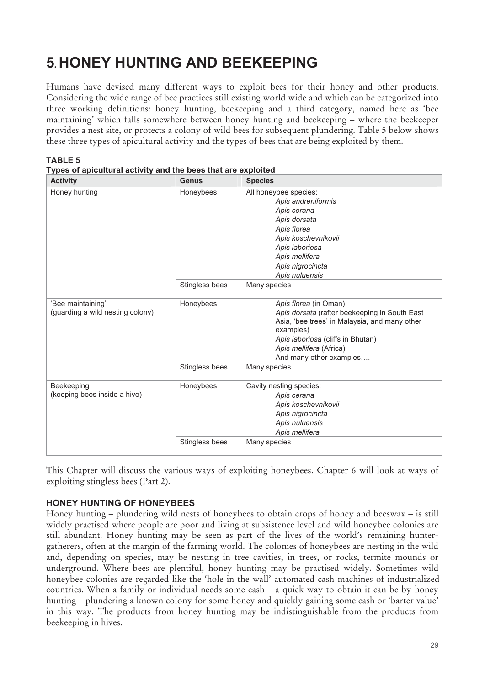# **5. HONEY HUNTING AND BEEKEEPING**

Humans have devised many different ways to exploit bees for their honey and other products. Considering the wide range of bee practices still existing world wide and which can be categorized into three working definitions: honey hunting, beekeeping and a third category, named here as 'bee maintaining' which falls somewhere between honey hunting and beekeeping – where the beekeeper provides a nest site, or protects a colony of wild bees for subsequent plundering. Table 5 below shows these three types of apicultural activity and the types of bees that are being exploited by them.

| <b>Activity</b>                                       | <b>Genus</b>   | <b>Species</b>                                                                                                                                                                                                                  |  |
|-------------------------------------------------------|----------------|---------------------------------------------------------------------------------------------------------------------------------------------------------------------------------------------------------------------------------|--|
| Honey hunting                                         | Honeybees      | All honeybee species:<br>Apis andreniformis<br>Apis cerana<br>Apis dorsata<br>Apis florea<br>Apis koschevnikovii<br>Apis laboriosa<br>Apis mellifera<br>Apis nigrocincta<br>Apis nuluensis                                      |  |
|                                                       | Stingless bees | Many species                                                                                                                                                                                                                    |  |
| 'Bee maintaining'<br>(guarding a wild nesting colony) | Honeybees      | Apis florea (in Oman)<br>Apis dorsata (rafter beekeeping in South East<br>Asia, 'bee trees' in Malaysia, and many other<br>examples)<br>Apis laboriosa (cliffs in Bhutan)<br>Apis mellifera (Africa)<br>And many other examples |  |
|                                                       | Stingless bees | Many species                                                                                                                                                                                                                    |  |
| Beekeeping<br>(keeping bees inside a hive)            | Honeybees      | Cavity nesting species:<br>Apis cerana<br>Apis koschevnikovii<br>Apis nigrocincta<br>Apis nuluensis<br>Apis mellifera                                                                                                           |  |
|                                                       | Stingless bees | Many species                                                                                                                                                                                                                    |  |

| <b>TABLE 5</b>                                                |  |  |
|---------------------------------------------------------------|--|--|
| Types of apicultural activity and the bees that are exploited |  |  |

This Chapter will discuss the various ways of exploiting honeybees. Chapter 6 will look at ways of exploiting stingless bees (Part 2).

#### **HONEY HUNTING OF HONEYBEES**

Honey hunting – plundering wild nests of honeybees to obtain crops of honey and beeswax – is still widely practised where people are poor and living at subsistence level and wild honeybee colonies are still abundant. Honey hunting may be seen as part of the lives of the world's remaining huntergatherers, often at the margin of the farming world. The colonies of honeybees are nesting in the wild and, depending on species, may be nesting in tree cavities, in trees, or rocks, termite mounds or underground. Where bees are plentiful, honey hunting may be practised widely. Sometimes wild honeybee colonies are regarded like the 'hole in the wall' automated cash machines of industrialized countries. When a family or individual needs some cash – a quick way to obtain it can be by honey hunting – plundering a known colony for some honey and quickly gaining some cash or 'barter value' in this way. The products from honey hunting may be indistinguishable from the products from beekeeping in hives.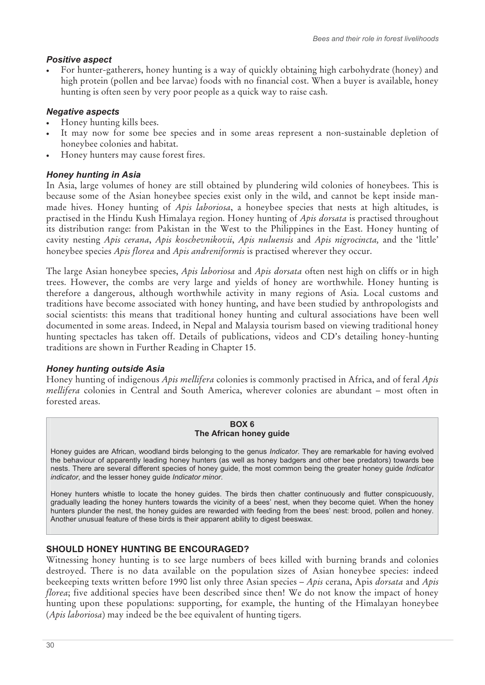## *Positive aspect*

- For hunter-gatherers, honey hunting is a way of quickly obtaining high carbohydrate (honey) and high protein (pollen and bee larvae) foods with no financial cost. When a buyer is available, honey hunting is often seen by very poor people as a quick way to raise cash.

# *Negative aspects*

- -Honey hunting kills bees.
- - It may now for some bee species and in some areas represent a non-sustainable depletion of honeybee colonies and habitat.
- -Honey hunters may cause forest fires.

## *Honey hunting in Asia*

In Asia, large volumes of honey are still obtained by plundering wild colonies of honeybees. This is because some of the Asian honeybee species exist only in the wild, and cannot be kept inside manmade hives. Honey hunting of *Apis laboriosa*, a honeybee species that nests at high altitudes, is practised in the Hindu Kush Himalaya region. Honey hunting of *Apis dorsata* is practised throughout its distribution range: from Pakistan in the West to the Philippines in the East. Honey hunting of cavity nesting *Apis cerana*, *Apis koschevnikovii*, *Apis nuluensis* and *Apis nigrocincta,* and the 'little' honeybee species *Apis florea* and *Apis andreniformis* is practised wherever they occur.

The large Asian honeybee species, *Apis laboriosa* and *Apis dorsata* often nest high on cliffs or in high trees. However, the combs are very large and yields of honey are worthwhile. Honey hunting is therefore a dangerous, although worthwhile activity in many regions of Asia. Local customs and traditions have become associated with honey hunting, and have been studied by anthropologists and social scientists: this means that traditional honey hunting and cultural associations have been well documented in some areas. Indeed, in Nepal and Malaysia tourism based on viewing traditional honey hunting spectacles has taken off. Details of publications, videos and CD's detailing honey-hunting traditions are shown in Further Reading in Chapter 15.

## *Honey hunting outside Asia*

Honey hunting of indigenous *Apis mellifera* colonies is commonly practised in Africa, and of feral *Apis mellifera* colonies in Central and South America, wherever colonies are abundant – most often in forested areas.

#### **BOX 6 The African honey guide**

Honey guides are African, woodland birds belonging to the genus *Indicator*. They are remarkable for having evolved the behaviour of apparently leading honey hunters (as well as honey badgers and other bee predators) towards bee nests. There are several different species of honey guide, the most common being the greater honey guide *Indicator indicator*, and the lesser honey guide *Indicator minor*.

Honey hunters whistle to locate the honey guides. The birds then chatter continuously and flutter conspicuously, gradually leading the honey hunters towards the vicinity of a bees' nest, when they become quiet. When the honey hunters plunder the nest, the honey guides are rewarded with feeding from the bees' nest: brood, pollen and honey. Another unusual feature of these birds is their apparent ability to digest beeswax.

## **SHOULD HONEY HUNTING BE ENCOURAGED?**

Witnessing honey hunting is to see large numbers of bees killed with burning brands and colonies destroyed. There is no data available on the population sizes of Asian honeybee species: indeed beekeeping texts written before 1990 list only three Asian species – *Apis* cerana, Apis *dorsata* and *Apis florea*; five additional species have been described since then! We do not know the impact of honey hunting upon these populations: supporting, for example, the hunting of the Himalayan honeybee (*Apis laboriosa*) may indeed be the bee equivalent of hunting tigers.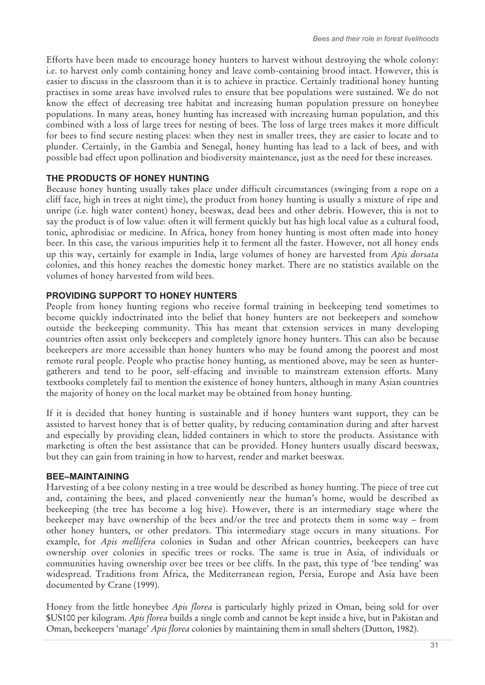Efforts have been made to encourage honey hunters to harvest without destroying the whole colony: i.e. to harvest only comb containing honey and leave comb-containing brood intact. However, this is easier to discuss in the classroom than it is to achieve in practice. Certainly traditional honey hunting practises in some areas have involved rules to ensure that bee populations were sustained. We do not know the effect of decreasing tree habitat and increasing human population pressure on honeybee populations. In many areas, honey hunting has increased with increasing human population, and this combined with a loss of large trees for nesting of bees. The loss of large trees makes it more difficult for bees to find secure nesting places: when they nest in smaller trees, they are easier to locate and to plunder. Certainly, in the Gambia and Senegal, honey hunting has lead to a lack of bees, and with possible bad effect upon pollination and biodiversity maintenance, just as the need for these increases.

# **THE PRODUCTS OF HONEY HUNTING**

Because honey hunting usually takes place under difficult circumstances (swinging from a rope on a cliff face, high in trees at night time), the product from honey hunting is usually a mixture of ripe and unripe (i.e. high water content) honey, beeswax, dead bees and other debris. However, this is not to say the product is of low value: often it will ferment quickly but has high local value as a cultural food, tonic, aphrodisiac or medicine. In Africa, honey from honey hunting is most often made into honey beer. In this case, the various impurities help it to ferment all the faster. However, not all honey ends up this way, certainly for example in India, large volumes of honey are harvested from *Apis dorsata* colonies, and this honey reaches the domestic honey market. There are no statistics available on the volumes of honey harvested from wild bees.

# **PROVIDING SUPPORT TO HONEY HUNTERS**

People from honey hunting regions who receive formal training in beekeeping tend sometimes to become quickly indoctrinated into the belief that honey hunters are not beekeepers and somehow outside the beekeeping community. This has meant that extension services in many developing countries often assist only beekeepers and completely ignore honey hunters. This can also be because beekeepers are more accessible than honey hunters who may be found among the poorest and most remote rural people. People who practise honey hunting, as mentioned above, may be seen as huntergatherers and tend to be poor, self-effacing and invisible to mainstream extension efforts. Many textbooks completely fail to mention the existence of honey hunters, although in many Asian countries the majority of honey on the local market may be obtained from honey hunting.

If it is decided that honey hunting is sustainable and if honey hunters want support, they can be assisted to harvest honey that is of better quality, by reducing contamination during and after harvest and especially by providing clean, lidded containers in which to store the products. Assistance with marketing is often the best assistance that can be provided. Honey hunters usually discard beeswax, but they can gain from training in how to harvest, render and market beeswax.

## **BEE–MAINTAINING**

Harvesting of a bee colony nesting in a tree would be described as honey hunting. The piece of tree cut and, containing the bees, and placed conveniently near the human's home, would be described as beekeeping (the tree has become a log hive). However, there is an intermediary stage where the beekeeper may have ownership of the bees and/or the tree and protects them in some way – from other honey hunters, or other predators. This intermediary stage occurs in many situations. For example, for *Apis mellifera* colonies in Sudan and other African countries, beekeepers can have ownership over colonies in specific trees or rocks. The same is true in Asia, of individuals or communities having ownership over bee trees or bee cliffs. In the past, this type of 'bee tending' was widespread. Traditions from Africa, the Mediterranean region, Persia, Europe and Asia have been documented by Crane (1999).

Honey from the little honeybee *Apis florea* is particularly highly prized in Oman, being sold for over \$US100 per kilogram. *Apis florea* builds a single comb and cannot be kept inside a hive, but in Pakistan and Oman, beekeepers 'manage' *Apis florea* colonies by maintaining them in small shelters (Dutton, 1982).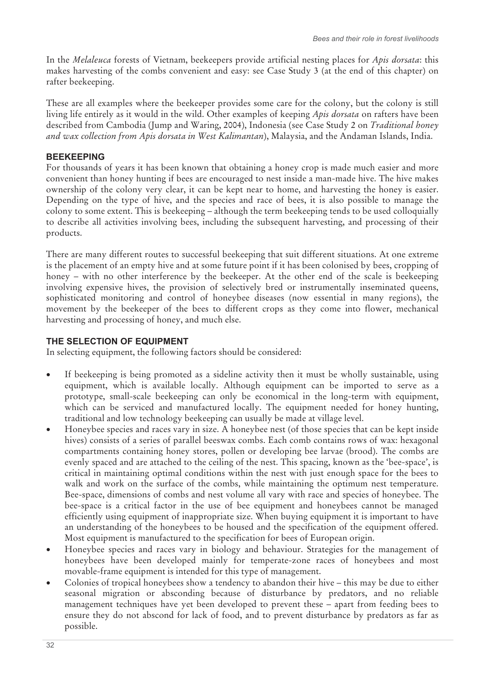In the *Melaleuca* forests of Vietnam, beekeepers provide artificial nesting places for *Apis dorsata*: this makes harvesting of the combs convenient and easy: see Case Study 3 (at the end of this chapter) on rafter beekeeping.

These are all examples where the beekeeper provides some care for the colony, but the colony is still living life entirely as it would in the wild. Other examples of keeping *Apis dorsata* on rafters have been described from Cambodia (Jump and Waring, 2004), Indonesia (see Case Study 2 on *Traditional honey and wax collection from Apis dorsata in West Kalimantan*), Malaysia, and the Andaman Islands, India.

#### **BEEKEEPING**

For thousands of years it has been known that obtaining a honey crop is made much easier and more convenient than honey hunting if bees are encouraged to nest inside a man-made hive. The hive makes ownership of the colony very clear, it can be kept near to home, and harvesting the honey is easier. Depending on the type of hive, and the species and race of bees, it is also possible to manage the colony to some extent. This is beekeeping – although the term beekeeping tends to be used colloquially to describe all activities involving bees, including the subsequent harvesting, and processing of their products.

There are many different routes to successful beekeeping that suit different situations. At one extreme is the placement of an empty hive and at some future point if it has been colonised by bees, cropping of honey – with no other interference by the beekeeper. At the other end of the scale is beekeeping involving expensive hives, the provision of selectively bred or instrumentally inseminated queens, sophisticated monitoring and control of honeybee diseases (now essential in many regions), the movement by the beekeeper of the bees to different crops as they come into flower, mechanical harvesting and processing of honey, and much else.

#### **THE SELECTION OF EQUIPMENT**

In selecting equipment, the following factors should be considered:

- $\bullet$  If beekeeping is being promoted as a sideline activity then it must be wholly sustainable, using equipment, which is available locally. Although equipment can be imported to serve as a prototype, small-scale beekeeping can only be economical in the long-term with equipment, which can be serviced and manufactured locally. The equipment needed for honey hunting, traditional and low technology beekeeping can usually be made at village level.
- - Honeybee species and races vary in size. A honeybee nest (of those species that can be kept inside hives) consists of a series of parallel beeswax combs. Each comb contains rows of wax: hexagonal compartments containing honey stores, pollen or developing bee larvae (brood). The combs are evenly spaced and are attached to the ceiling of the nest. This spacing, known as the 'bee-space', is critical in maintaining optimal conditions within the nest with just enough space for the bees to walk and work on the surface of the combs, while maintaining the optimum nest temperature. Bee-space, dimensions of combs and nest volume all vary with race and species of honeybee. The bee-space is a critical factor in the use of bee equipment and honeybees cannot be managed efficiently using equipment of inappropriate size. When buying equipment it is important to have an understanding of the honeybees to be housed and the specification of the equipment offered. Most equipment is manufactured to the specification for bees of European origin.
- - Honeybee species and races vary in biology and behaviour. Strategies for the management of honeybees have been developed mainly for temperate-zone races of honeybees and most movable-frame equipment is intended for this type of management.
- - Colonies of tropical honeybees show a tendency to abandon their hive – this may be due to either seasonal migration or absconding because of disturbance by predators, and no reliable management techniques have yet been developed to prevent these – apart from feeding bees to ensure they do not abscond for lack of food, and to prevent disturbance by predators as far as possible.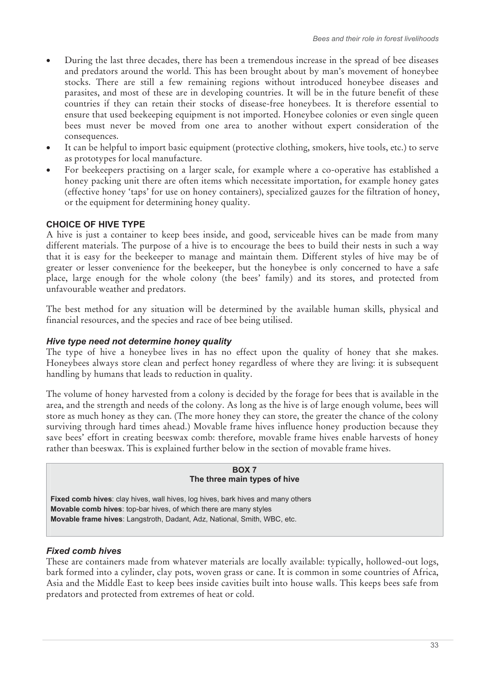- - During the last three decades, there has been a tremendous increase in the spread of bee diseases and predators around the world. This has been brought about by man's movement of honeybee stocks. There are still a few remaining regions without introduced honeybee diseases and parasites, and most of these are in developing countries. It will be in the future benefit of these countries if they can retain their stocks of disease-free honeybees. It is therefore essential to ensure that used beekeeping equipment is not imported. Honeybee colonies or even single queen bees must never be moved from one area to another without expert consideration of the consequences.
- - It can be helpful to import basic equipment (protective clothing, smokers, hive tools, etc.) to serve as prototypes for local manufacture.
- - For beekeepers practising on a larger scale, for example where a co-operative has established a honey packing unit there are often items which necessitate importation, for example honey gates (effective honey 'taps' for use on honey containers), specialized gauzes for the filtration of honey, or the equipment for determining honey quality.

## **CHOICE OF HIVE TYPE**

A hive is just a container to keep bees inside, and good, serviceable hives can be made from many different materials. The purpose of a hive is to encourage the bees to build their nests in such a way that it is easy for the beekeeper to manage and maintain them. Different styles of hive may be of greater or lesser convenience for the beekeeper, but the honeybee is only concerned to have a safe place, large enough for the whole colony (the bees' family) and its stores, and protected from unfavourable weather and predators.

The best method for any situation will be determined by the available human skills, physical and financial resources, and the species and race of bee being utilised.

#### *Hive type need not determine honey quality*

The type of hive a honeybee lives in has no effect upon the quality of honey that she makes. Honeybees always store clean and perfect honey regardless of where they are living: it is subsequent handling by humans that leads to reduction in quality.

The volume of honey harvested from a colony is decided by the forage for bees that is available in the area, and the strength and needs of the colony. As long as the hive is of large enough volume, bees will store as much honey as they can. (The more honey they can store, the greater the chance of the colony surviving through hard times ahead.) Movable frame hives influence honey production because they save bees' effort in creating beeswax comb: therefore, movable frame hives enable harvests of honey rather than beeswax. This is explained further below in the section of movable frame hives.

#### **BOX 7 The three main types of hive**

**Fixed comb hives**: clay hives, wall hives, log hives, bark hives and many others **Movable comb hives**: top-bar hives, of which there are many styles **Movable frame hives**: Langstroth, Dadant, Adz, National, Smith, WBC, etc.

#### *Fixed comb hives*

These are containers made from whatever materials are locally available: typically, hollowed-out logs, bark formed into a cylinder, clay pots, woven grass or cane. It is common in some countries of Africa, Asia and the Middle East to keep bees inside cavities built into house walls. This keeps bees safe from predators and protected from extremes of heat or cold.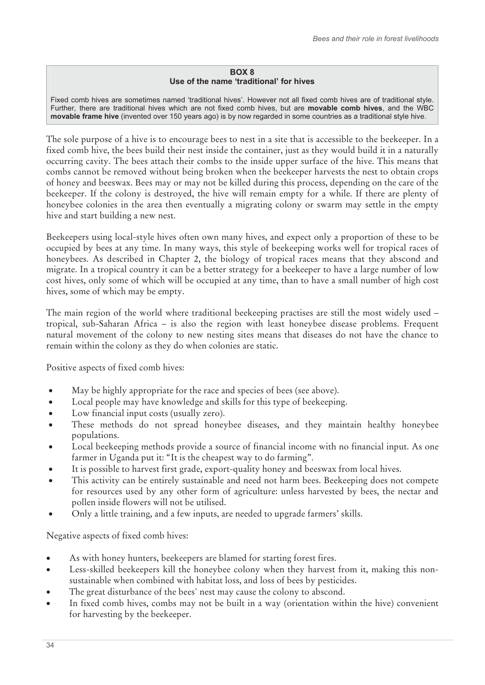#### **BOX 8 Use of the name 'traditional' for hives**

Fixed comb hives are sometimes named 'traditional hives'. However not all fixed comb hives are of traditional style. Further, there are traditional hives which are not fixed comb hives, but are **movable comb hives**, and the WBC **movable frame hive** (invented over 150 years ago) is by now regarded in some countries as a traditional style hive.

The sole purpose of a hive is to encourage bees to nest in a site that is accessible to the beekeeper. In a fixed comb hive, the bees build their nest inside the container, just as they would build it in a naturally occurring cavity. The bees attach their combs to the inside upper surface of the hive. This means that combs cannot be removed without being broken when the beekeeper harvests the nest to obtain crops of honey and beeswax. Bees may or may not be killed during this process, depending on the care of the beekeeper. If the colony is destroyed, the hive will remain empty for a while. If there are plenty of honeybee colonies in the area then eventually a migrating colony or swarm may settle in the empty hive and start building a new nest.

Beekeepers using local-style hives often own many hives, and expect only a proportion of these to be occupied by bees at any time. In many ways, this style of beekeeping works well for tropical races of honeybees. As described in Chapter 2, the biology of tropical races means that they abscond and migrate. In a tropical country it can be a better strategy for a beekeeper to have a large number of low cost hives, only some of which will be occupied at any time, than to have a small number of high cost hives, some of which may be empty.

The main region of the world where traditional beekeeping practises are still the most widely used – tropical, sub-Saharan Africa – is also the region with least honeybee disease problems. Frequent natural movement of the colony to new nesting sites means that diseases do not have the chance to remain within the colony as they do when colonies are static.

Positive aspects of fixed comb hives:

- $\bullet$ May be highly appropriate for the race and species of bees (see above).
- -Local people may have knowledge and skills for this type of beekeeping.
- -Low financial input costs (usually zero).
- - These methods do not spread honeybee diseases, and they maintain healthy honeybee populations.
- - Local beekeeping methods provide a source of financial income with no financial input. As one farmer in Uganda put it: "It is the cheapest way to do farming".
- -It is possible to harvest first grade, export-quality honey and beeswax from local hives.
- - This activity can be entirely sustainable and need not harm bees. Beekeeping does not compete for resources used by any other form of agriculture: unless harvested by bees, the nectar and pollen inside flowers will not be utilised.
- -Only a little training, and a few inputs, are needed to upgrade farmers' skills.

Negative aspects of fixed comb hives:

- -As with honey hunters, beekeepers are blamed for starting forest fires.
- - Less-skilled beekeepers kill the honeybee colony when they harvest from it, making this nonsustainable when combined with habitat loss, and loss of bees by pesticides.
- -The great disturbance of the bees' nest may cause the colony to abscond.
- - In fixed comb hives, combs may not be built in a way (orientation within the hive) convenient for harvesting by the beekeeper.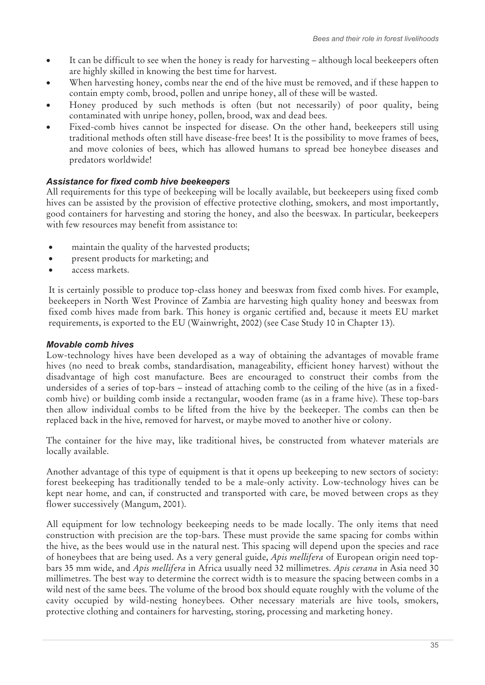- $\bullet$  It can be difficult to see when the honey is ready for harvesting – although local beekeepers often are highly skilled in knowing the best time for harvest.
- - When harvesting honey, combs near the end of the hive must be removed, and if these happen to contain empty comb, brood, pollen and unripe honey, all of these will be wasted.
- - Honey produced by such methods is often (but not necessarily) of poor quality, being contaminated with unripe honey, pollen, brood, wax and dead bees.
- - Fixed-comb hives cannot be inspected for disease. On the other hand, beekeepers still using traditional methods often still have disease-free bees! It is the possibility to move frames of bees, and move colonies of bees, which has allowed humans to spread bee honeybee diseases and predators worldwide!

# *Assistance for fixed comb hive beekeepers*

All requirements for this type of beekeeping will be locally available, but beekeepers using fixed comb hives can be assisted by the provision of effective protective clothing, smokers, and most importantly, good containers for harvesting and storing the honey, and also the beeswax. In particular, beekeepers with few resources may benefit from assistance to:

- maintain the quality of the harvested products;
- present products for marketing; and
- access markets.

It is certainly possible to produce top-class honey and beeswax from fixed comb hives. For example, beekeepers in North West Province of Zambia are harvesting high quality honey and beeswax from fixed comb hives made from bark. This honey is organic certified and, because it meets EU market requirements, is exported to the EU (Wainwright, 2002) (see Case Study 10 in Chapter 13).

## *Movable comb hives*

Low-technology hives have been developed as a way of obtaining the advantages of movable frame hives (no need to break combs, standardisation, manageability, efficient honey harvest) without the disadvantage of high cost manufacture. Bees are encouraged to construct their combs from the undersides of a series of top-bars – instead of attaching comb to the ceiling of the hive (as in a fixedcomb hive) or building comb inside a rectangular, wooden frame (as in a frame hive). These top-bars then allow individual combs to be lifted from the hive by the beekeeper. The combs can then be replaced back in the hive, removed for harvest, or maybe moved to another hive or colony.

The container for the hive may, like traditional hives, be constructed from whatever materials are locally available.

Another advantage of this type of equipment is that it opens up beekeeping to new sectors of society: forest beekeeping has traditionally tended to be a male-only activity. Low-technology hives can be kept near home, and can, if constructed and transported with care, be moved between crops as they flower successively (Mangum, 2001).

All equipment for low technology beekeeping needs to be made locally. The only items that need construction with precision are the top-bars. These must provide the same spacing for combs within the hive, as the bees would use in the natural nest. This spacing will depend upon the species and race of honeybees that are being used. As a very general guide, *Apis mellifera* of European origin need topbars 35 mm wide, and *Apis mellifera* in Africa usually need 32 millimetres. *Apis cerana* in Asia need 30 millimetres. The best way to determine the correct width is to measure the spacing between combs in a wild nest of the same bees. The volume of the brood box should equate roughly with the volume of the cavity occupied by wild-nesting honeybees. Other necessary materials are hive tools, smokers, protective clothing and containers for harvesting, storing, processing and marketing honey.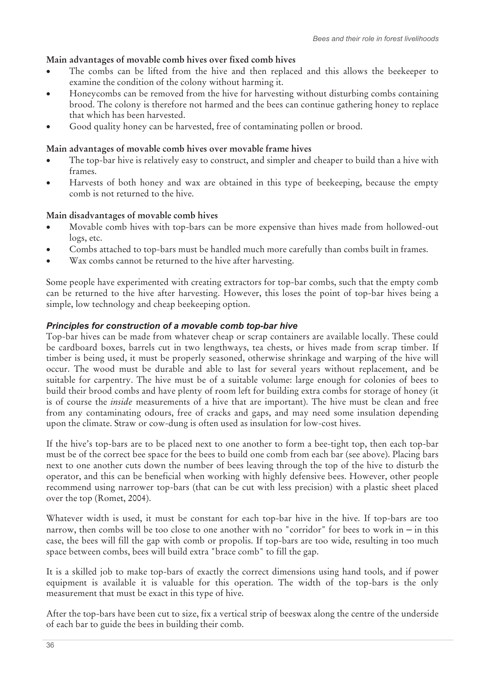# **Main advantages of movable comb hives over fixed comb hives**

- - The combs can be lifted from the hive and then replaced and this allows the beekeeper to examine the condition of the colony without harming it.
- - Honeycombs can be removed from the hive for harvesting without disturbing combs containing brood. The colony is therefore not harmed and the bees can continue gathering honey to replace that which has been harvested.
- -Good quality honey can be harvested, free of contaminating pollen or brood.

# **Main advantages of movable comb hives over movable frame hives**

- - The top-bar hive is relatively easy to construct, and simpler and cheaper to build than a hive with frames.
- - Harvests of both honey and wax are obtained in this type of beekeeping, because the empty comb is not returned to the hive.

# **Main disadvantages of movable comb hives**

- - Movable comb hives with top-bars can be more expensive than hives made from hollowed-out logs, etc.
- -Combs attached to top-bars must be handled much more carefully than combs built in frames.
- -Wax combs cannot be returned to the hive after harvesting.

Some people have experimented with creating extractors for top-bar combs, such that the empty comb can be returned to the hive after harvesting. However, this loses the point of top-bar hives being a simple, low technology and cheap beekeeping option.

## *Principles for construction of a movable comb top-bar hive*

Top-bar hives can be made from whatever cheap or scrap containers are available locally. These could be cardboard boxes, barrels cut in two lengthways, tea chests, or hives made from scrap timber. If timber is being used, it must be properly seasoned, otherwise shrinkage and warping of the hive will occur. The wood must be durable and able to last for several years without replacement, and be suitable for carpentry. The hive must be of a suitable volume: large enough for colonies of bees to build their brood combs and have plenty of room left for building extra combs for storage of honey (it is of course the *inside* measurements of a hive that are important). The hive must be clean and free from any contaminating odours, free of cracks and gaps, and may need some insulation depending upon the climate. Straw or cow-dung is often used as insulation for low-cost hives.

If the hive's top-bars are to be placed next to one another to form a bee-tight top, then each top-bar must be of the correct bee space for the bees to build one comb from each bar (see above). Placing bars next to one another cuts down the number of bees leaving through the top of the hive to disturb the operator, and this can be beneficial when working with highly defensive bees. However, other people recommend using narrower top-bars (that can be cut with less precision) with a plastic sheet placed over the top (Romet, 2004).

Whatever width is used, it must be constant for each top-bar hive in the hive. If top-bars are too narrow, then combs will be too close to one another with no "corridor" for bees to work in – in this case, the bees will fill the gap with comb or propolis. If top-bars are too wide, resulting in too much space between combs, bees will build extra "brace comb" to fill the gap.

It is a skilled job to make top-bars of exactly the correct dimensions using hand tools, and if power equipment is available it is valuable for this operation. The width of the top-bars is the only measurement that must be exact in this type of hive.

After the top-bars have been cut to size, fix a vertical strip of beeswax along the centre of the underside of each bar to guide the bees in building their comb.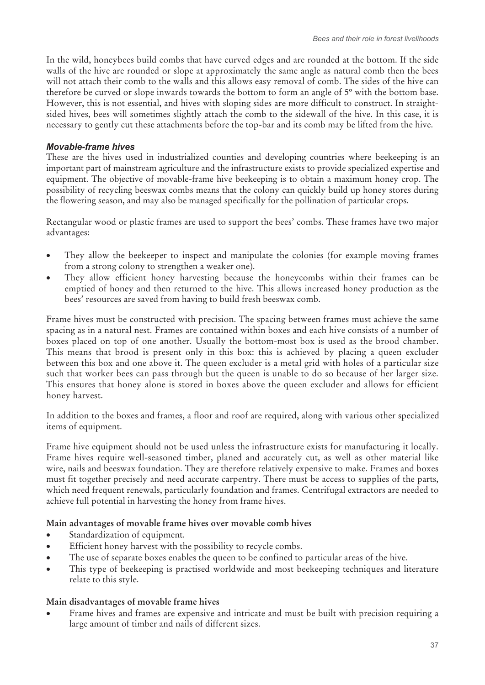In the wild, honeybees build combs that have curved edges and are rounded at the bottom. If the side walls of the hive are rounded or slope at approximately the same angle as natural comb then the bees will not attach their comb to the walls and this allows easy removal of comb. The sides of the hive can therefore be curved or slope inwards towards the bottom to form an angle of 5º with the bottom base. However, this is not essential, and hives with sloping sides are more difficult to construct. In straightsided hives, bees will sometimes slightly attach the comb to the sidewall of the hive. In this case, it is necessary to gently cut these attachments before the top-bar and its comb may be lifted from the hive.

#### *Movable-frame hives*

These are the hives used in industrialized counties and developing countries where beekeeping is an important part of mainstream agriculture and the infrastructure exists to provide specialized expertise and equipment. The objective of movable-frame hive beekeeping is to obtain a maximum honey crop. The possibility of recycling beeswax combs means that the colony can quickly build up honey stores during the flowering season, and may also be managed specifically for the pollination of particular crops.

Rectangular wood or plastic frames are used to support the bees' combs. These frames have two major advantages:

- - They allow the beekeeper to inspect and manipulate the colonies (for example moving frames from a strong colony to strengthen a weaker one).
- - They allow efficient honey harvesting because the honeycombs within their frames can be emptied of honey and then returned to the hive. This allows increased honey production as the bees' resources are saved from having to build fresh beeswax comb.

Frame hives must be constructed with precision. The spacing between frames must achieve the same spacing as in a natural nest. Frames are contained within boxes and each hive consists of a number of boxes placed on top of one another. Usually the bottom-most box is used as the brood chamber. This means that brood is present only in this box: this is achieved by placing a queen excluder between this box and one above it. The queen excluder is a metal grid with holes of a particular size such that worker bees can pass through but the queen is unable to do so because of her larger size. This ensures that honey alone is stored in boxes above the queen excluder and allows for efficient honey harvest.

In addition to the boxes and frames, a floor and roof are required, along with various other specialized items of equipment.

Frame hive equipment should not be used unless the infrastructure exists for manufacturing it locally. Frame hives require well-seasoned timber, planed and accurately cut, as well as other material like wire, nails and beeswax foundation. They are therefore relatively expensive to make. Frames and boxes must fit together precisely and need accurate carpentry. There must be access to supplies of the parts, which need frequent renewals, particularly foundation and frames. Centrifugal extractors are needed to achieve full potential in harvesting the honey from frame hives.

## **Main advantages of movable frame hives over movable comb hives**

- -Standardization of equipment.
- -Efficient honey harvest with the possibility to recycle combs.
- -The use of separate boxes enables the queen to be confined to particular areas of the hive.
- - This type of beekeeping is practised worldwide and most beekeeping techniques and literature relate to this style.

#### **Main disadvantages of movable frame hives**

- Frame hives and frames are expensive and intricate and must be built with precision requiring a large amount of timber and nails of different sizes.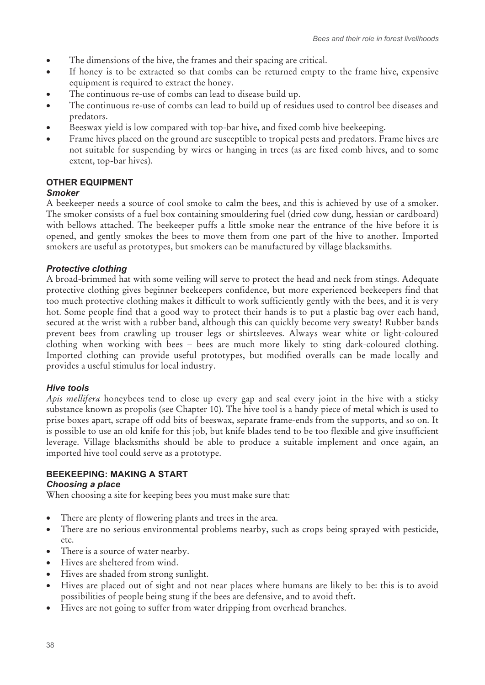- $\bullet$ The dimensions of the hive, the frames and their spacing are critical.
- - If honey is to be extracted so that combs can be returned empty to the frame hive, expensive equipment is required to extract the honey.
- -The continuous re-use of combs can lead to disease build up.
- - The continuous re-use of combs can lead to build up of residues used to control bee diseases and predators.
- -Beeswax yield is low compared with top-bar hive, and fixed comb hive beekeeping.
- - Frame hives placed on the ground are susceptible to tropical pests and predators. Frame hives are not suitable for suspending by wires or hanging in trees (as are fixed comb hives, and to some extent, top-bar hives).

# **OTHER EQUIPMENT**

#### *Smoker*

A beekeeper needs a source of cool smoke to calm the bees, and this is achieved by use of a smoker. The smoker consists of a fuel box containing smouldering fuel (dried cow dung, hessian or cardboard) with bellows attached. The beekeeper puffs a little smoke near the entrance of the hive before it is opened, and gently smokes the bees to move them from one part of the hive to another. Imported smokers are useful as prototypes, but smokers can be manufactured by village blacksmiths.

## *Protective clothing*

A broad-brimmed hat with some veiling will serve to protect the head and neck from stings. Adequate protective clothing gives beginner beekeepers confidence, but more experienced beekeepers find that too much protective clothing makes it difficult to work sufficiently gently with the bees, and it is very hot. Some people find that a good way to protect their hands is to put a plastic bag over each hand, secured at the wrist with a rubber band, although this can quickly become very sweaty! Rubber bands prevent bees from crawling up trouser legs or shirtsleeves. Always wear white or light-coloured clothing when working with bees – bees are much more likely to sting dark-coloured clothing. Imported clothing can provide useful prototypes, but modified overalls can be made locally and provides a useful stimulus for local industry.

#### *Hive tools*

*Apis mellifera* honeybees tend to close up every gap and seal every joint in the hive with a sticky substance known as propolis (see Chapter 10). The hive tool is a handy piece of metal which is used to prise boxes apart, scrape off odd bits of beeswax, separate frame-ends from the supports, and so on. It is possible to use an old knife for this job, but knife blades tend to be too flexible and give insufficient leverage. Village blacksmiths should be able to produce a suitable implement and once again, an imported hive tool could serve as a prototype.

## **BEEKEEPING: MAKING A START**

#### *Choosing a place*

When choosing a site for keeping bees you must make sure that:

- There are plenty of flowering plants and trees in the area.
- There are no serious environmental problems nearby, such as crops being sprayed with pesticide, etc.
- There is a source of water nearby.
- Hives are sheltered from wind.
- Hives are shaded from strong sunlight.
- $\bullet$  Hives are placed out of sight and not near places where humans are likely to be: this is to avoid possibilities of people being stung if the bees are defensive, and to avoid theft.
- Hives are not going to suffer from water dripping from overhead branches.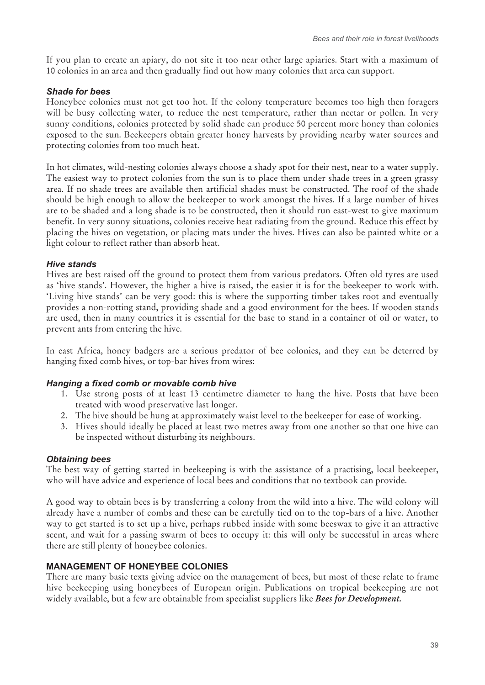If you plan to create an apiary, do not site it too near other large apiaries. Start with a maximum of 10 colonies in an area and then gradually find out how many colonies that area can support.

#### *Shade for bees*

Honeybee colonies must not get too hot. If the colony temperature becomes too high then foragers will be busy collecting water, to reduce the nest temperature, rather than nectar or pollen. In very sunny conditions, colonies protected by solid shade can produce 50 percent more honey than colonies exposed to the sun. Beekeepers obtain greater honey harvests by providing nearby water sources and protecting colonies from too much heat.

In hot climates, wild-nesting colonies always choose a shady spot for their nest, near to a water supply. The easiest way to protect colonies from the sun is to place them under shade trees in a green grassy area. If no shade trees are available then artificial shades must be constructed. The roof of the shade should be high enough to allow the beekeeper to work amongst the hives. If a large number of hives are to be shaded and a long shade is to be constructed, then it should run east-west to give maximum benefit. In very sunny situations, colonies receive heat radiating from the ground. Reduce this effect by placing the hives on vegetation, or placing mats under the hives. Hives can also be painted white or a light colour to reflect rather than absorb heat.

#### *Hive stands*

Hives are best raised off the ground to protect them from various predators. Often old tyres are used as 'hive stands'. However, the higher a hive is raised, the easier it is for the beekeeper to work with. 'Living hive stands' can be very good: this is where the supporting timber takes root and eventually provides a non-rotting stand, providing shade and a good environment for the bees. If wooden stands are used, then in many countries it is essential for the base to stand in a container of oil or water, to prevent ants from entering the hive.

In east Africa, honey badgers are a serious predator of bee colonies, and they can be deterred by hanging fixed comb hives, or top-bar hives from wires:

## *Hanging a fixed comb or movable comb hive*

- 1. Use strong posts of at least 13 centimetre diameter to hang the hive. Posts that have been treated with wood preservative last longer.
- 2. The hive should be hung at approximately waist level to the beekeeper for ease of working.
- 3. Hives should ideally be placed at least two metres away from one another so that one hive can be inspected without disturbing its neighbours.

## *Obtaining bees*

The best way of getting started in beekeeping is with the assistance of a practising, local beekeeper, who will have advice and experience of local bees and conditions that no textbook can provide.

A good way to obtain bees is by transferring a colony from the wild into a hive. The wild colony will already have a number of combs and these can be carefully tied on to the top-bars of a hive. Another way to get started is to set up a hive, perhaps rubbed inside with some beeswax to give it an attractive scent, and wait for a passing swarm of bees to occupy it: this will only be successful in areas where there are still plenty of honeybee colonies.

## **MANAGEMENT OF HONEYBEE COLONIES**

There are many basic texts giving advice on the management of bees, but most of these relate to frame hive beekeeping using honeybees of European origin. Publications on tropical beekeeping are not widely available, but a few are obtainable from specialist suppliers like *Bees for Development.*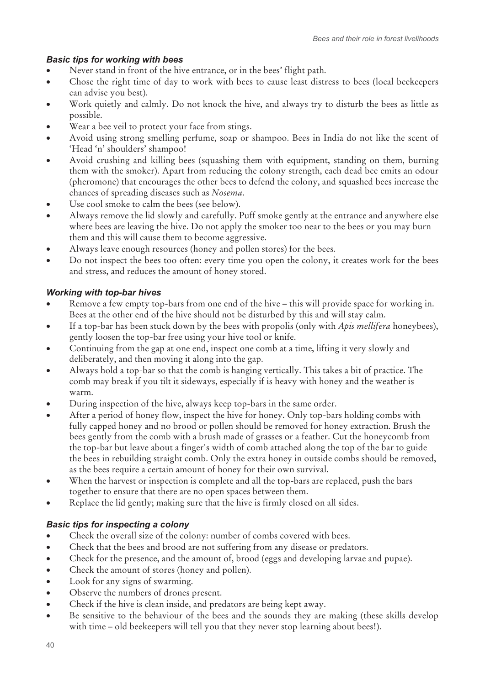# *Basic tips for working with bees*

- $\bullet$ Never stand in front of the hive entrance, or in the bees' flight path.
- - Chose the right time of day to work with bees to cause least distress to bees (local beekeepers can advise you best).
- - Work quietly and calmly. Do not knock the hive, and always try to disturb the bees as little as possible.
- -Wear a bee veil to protect your face from stings.
- - Avoid using strong smelling perfume, soap or shampoo. Bees in India do not like the scent of 'Head 'n' shoulders' shampoo!
- - Avoid crushing and killing bees (squashing them with equipment, standing on them, burning them with the smoker). Apart from reducing the colony strength, each dead bee emits an odour (pheromone) that encourages the other bees to defend the colony, and squashed bees increase the chances of spreading diseases such as *Nosema*.
- -Use cool smoke to calm the bees (see below).
- - Always remove the lid slowly and carefully. Puff smoke gently at the entrance and anywhere else where bees are leaving the hive. Do not apply the smoker too near to the bees or you may burn them and this will cause them to become aggressive.
- -Always leave enough resources (honey and pollen stores) for the bees.
- - Do not inspect the bees too often: every time you open the colony, it creates work for the bees and stress, and reduces the amount of honey stored.

# *Working with top-bar hives*

- - Remove a few empty top-bars from one end of the hive – this will provide space for working in. Bees at the other end of the hive should not be disturbed by this and will stay calm.
- - If a top-bar has been stuck down by the bees with propolis (only with *Apis mellifera* honeybees), gently loosen the top-bar free using your hive tool or knife.
- - Continuing from the gap at one end, inspect one comb at a time, lifting it very slowly and deliberately, and then moving it along into the gap.
- - Always hold a top-bar so that the comb is hanging vertically. This takes a bit of practice. The comb may break if you tilt it sideways, especially if is heavy with honey and the weather is warm.
- -During inspection of the hive, always keep top-bars in the same order.
- - After a period of honey flow, inspect the hive for honey. Only top-bars holding combs with fully capped honey and no brood or pollen should be removed for honey extraction. Brush the bees gently from the comb with a brush made of grasses or a feather. Cut the honeycomb from the top-bar but leave about a finger's width of comb attached along the top of the bar to guide the bees in rebuilding straight comb. Only the extra honey in outside combs should be removed, as the bees require a certain amount of honey for their own survival.
- $\bullet$  When the harvest or inspection is complete and all the top-bars are replaced, push the bars together to ensure that there are no open spaces between them.
- -Replace the lid gently; making sure that the hive is firmly closed on all sides.

# *Basic tips for inspecting a colony*

- $\bullet$ Check the overall size of the colony: number of combs covered with bees.
- -Check that the bees and brood are not suffering from any disease or predators.
- -Check for the presence, and the amount of, brood (eggs and developing larvae and pupae).
- $\bullet$ Check the amount of stores (honey and pollen).
- $\bullet$ Look for any signs of swarming.
- $\bullet$ Observe the numbers of drones present.
- -Check if the hive is clean inside, and predators are being kept away.
- - Be sensitive to the behaviour of the bees and the sounds they are making (these skills develop with time – old beekeepers will tell you that they never stop learning about bees!).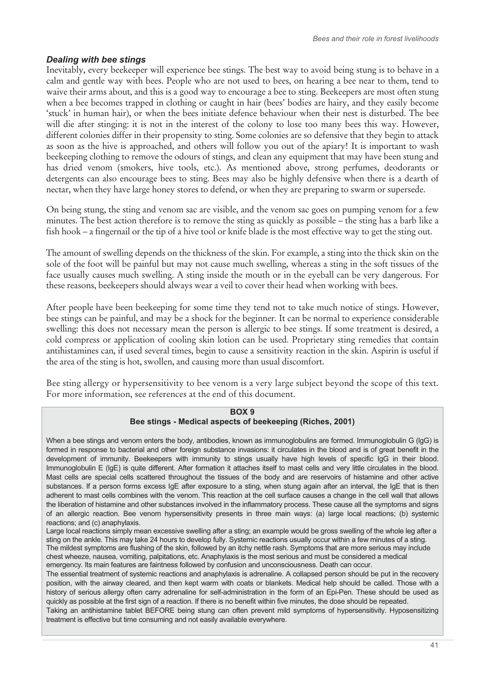#### *Dealing with bee stings*

Inevitably, every beekeeper will experience bee stings. The best way to avoid being stung is to behave in a calm and gentle way with bees. People who are not used to bees, on hearing a bee near to them, tend to waive their arms about, and this is a good way to encourage a bee to sting. Beekeepers are most often stung when a bee becomes trapped in clothing or caught in hair (bees' bodies are hairy, and they easily become 'stuck' in human hair), or when the bees initiate defence behaviour when their nest is disturbed. The bee will die after stinging: it is not in the interest of the colony to lose too many bees this way. However, different colonies differ in their propensity to sting. Some colonies are so defensive that they begin to attack as soon as the hive is approached, and others will follow you out of the apiary! It is important to wash beekeeping clothing to remove the odours of stings, and clean any equipment that may have been stung and has dried venom (smokers, hive tools, etc.). As mentioned above, strong perfumes, deodorants or detergents can also encourage bees to sting. Bees may also be highly defensive when there is a dearth of nectar, when they have large honey stores to defend, or when they are preparing to swarm or supersede.

On being stung, the sting and venom sac are visible, and the venom sac goes on pumping venom for a few minutes. The best action therefore is to remove the sting as quickly as possible – the sting has a barb like a fish hook – a fingernail or the tip of a hive tool or knife blade is the most effective way to get the sting out.

The amount of swelling depends on the thickness of the skin. For example, a sting into the thick skin on the sole of the foot will be painful but may not cause much swelling, whereas a sting in the soft tissues of the face usually causes much swelling. A sting inside the mouth or in the eyeball can be very dangerous. For these reasons, beekeepers should always wear a veil to cover their head when working with bees.

After people have been beekeeping for some time they tend not to take much notice of stings. However, bee stings can be painful, and may be a shock for the beginner. It can be normal to experience considerable swelling: this does not necessary mean the person is allergic to bee stings. If some treatment is desired, a cold compress or application of cooling skin lotion can be used. Proprietary sting remedies that contain antihistamines can, if used several times, begin to cause a sensitivity reaction in the skin. Aspirin is useful if the area of the sting is hot, swollen, and causing more than usual discomfort.

Bee sting allergy or hypersensitivity to bee venom is a very large subject beyond the scope of this text. For more information, see references at the end of this document.

#### **BOX 9 Bee stings - Medical aspects of beekeeping (Riches, 2001)**

When a bee stings and venom enters the body, antibodies, known as immunoglobulins are formed. Immunoglobulin G (lgG) is formed in response to bacterial and other foreign substance invasions: it circulates in the blood and is of great benefit in the development of immunity. Beekeepers with immunity to stings usually have high levels of specific IgG in their blood. Immunoglobulin E (lgE) is quite different. After formation it attaches itself to mast cells and very little circulates in the blood. Mast cells are special cells scattered throughout the tissues of the body and are reservoirs of histamine and other active substances. If a person forms excess IgE after exposure to a sting, when stung again after an interval, the IgE that is then adherent to mast cells combines with the venom. This reaction at the cell surface causes a change in the cell wall that allows the liberation of histamine and other substances involved in the inflammatory process. These cause all the symptoms and signs of an allergic reaction. Bee venom hypersensitivity presents in three main ways: (a) large local reactions; (b) systemic reactions; and (c) anaphylaxis.

Large local reactions simply mean excessive swelling after a sting; an example would be gross swelling of the whole leg after a sting on the ankle. This may take 24 hours to develop fully. Systemic reactions usually occur within a few minutes of a sting. The mildest symptoms are flushing of the skin, followed by an itchy nettle rash. Symptoms that are more serious may include chest wheeze, nausea, vomiting, palpitations, etc. Anaphylaxis is the most serious and must be considered a medical emergency. Its main features are faintness followed by confusion and unconsciousness. Death can occur.

The essential treatment of systemic reactions and anaphylaxis is adrenaline. A collapsed person should be put in the recovery position, with the airway cleared, and then kept warm with coats or blankets. Medical help should be called. Those with a history of serious allergy often carry adrenaline for self-administration in the form of an Epi-Pen. These should be used as quickly as possible at the first sign of a reaction. If there is no benefit within five minutes, the dose should be repeated.

Taking an antihistamine tablet BEFORE being stung can often prevent mild symptoms of hypersensitivity. Hyposensitizing treatment is effective but time consuming and not easily available everywhere.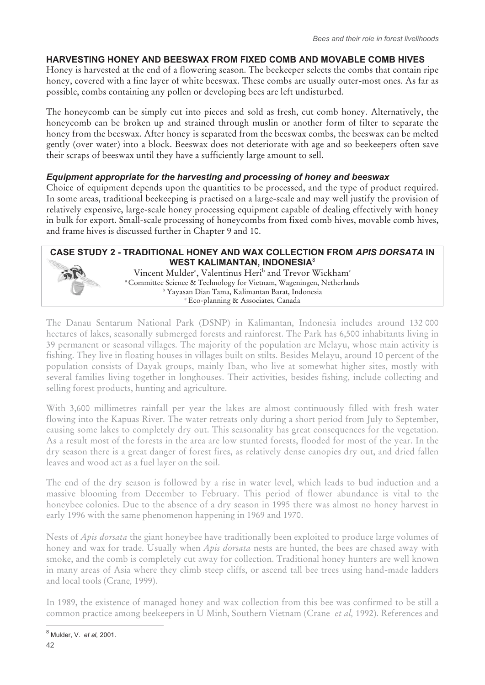# **HARVESTING HONEY AND BEESWAX FROM FIXED COMB AND MOVABLE COMB HIVES**

Honey is harvested at the end of a flowering season. The beekeeper selects the combs that contain ripe honey, covered with a fine layer of white beeswax. These combs are usually outer-most ones. As far as possible, combs containing any pollen or developing bees are left undisturbed.

The honeycomb can be simply cut into pieces and sold as fresh, cut comb honey. Alternatively, the honeycomb can be broken up and strained through muslin or another form of filter to separate the honey from the beeswax. After honey is separated from the beeswax combs, the beeswax can be melted gently (over water) into a block. Beeswax does not deteriorate with age and so beekeepers often save their scraps of beeswax until they have a sufficiently large amount to sell.

## *Equipment appropriate for the harvesting and processing of honey and beeswax*

Choice of equipment depends upon the quantities to be processed, and the type of product required. In some areas, traditional beekeeping is practised on a large-scale and may well justify the provision of relatively expensive, large-scale honey processing equipment capable of dealing effectively with honey in bulk for export. Small-scale processing of honeycombs from fixed comb hives, movable comb hives, and frame hives is discussed further in Chapter 9 and 10.



The Danau Sentarum National Park (DSNP) in Kalimantan, Indonesia includes around 132 000 hectares of lakes, seasonally submerged forests and rainforest. The Park has 6,500 inhabitants living in 39 permanent or seasonal villages. The majority of the population are Melayu, whose main activity is fishing. They live in floating houses in villages built on stilts. Besides Melayu, around 10 percent of the population consists of Dayak groups, mainly Iban, who live at somewhat higher sites, mostly with several families living together in longhouses. Their activities, besides fishing, include collecting and selling forest products, hunting and agriculture.

With 3,600 millimetres rainfall per year the lakes are almost continuously filled with fresh water flowing into the Kapuas River. The water retreats only during a short period from July to September, causing some lakes to completely dry out. This seasonality has great consequences for the vegetation. As a result most of the forests in the area are low stunted forests, flooded for most of the year. In the dry season there is a great danger of forest fires, as relatively dense canopies dry out, and dried fallen leaves and wood act as a fuel layer on the soil.

The end of the dry season is followed by a rise in water level, which leads to bud induction and a massive blooming from December to February. This period of flower abundance is vital to the honeybee colonies. Due to the absence of a dry season in 1995 there was almost no honey harvest in early 1996 with the same phenomenon happening in 1969 and 1970.

Nests of *Apis dorsata* the giant honeybee have traditionally been exploited to produce large volumes of honey and wax for trade. Usually when *Apis dorsata* nests are hunted, the bees are chased away with smoke, and the comb is completely cut away for collection. Traditional honey hunters are well known in many areas of Asia where they climb steep cliffs, or ascend tall bee trees using hand-made ladders and local tools (Crane*,* 1999).

In 1989, the existence of managed honey and wax collection from this bee was confirmed to be still a common practice among beekeepers in U Minh, Southern Vietnam (Crane *et al,* 1992). References and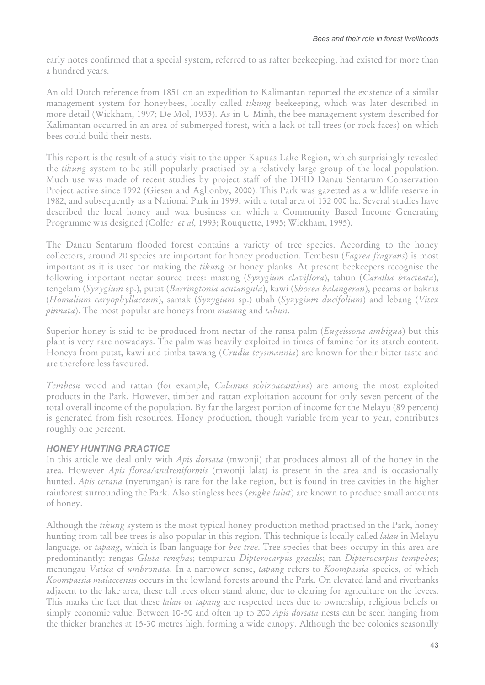early notes confirmed that a special system, referred to as rafter beekeeping, had existed for more than a hundred years.

An old Dutch reference from 1851 on an expedition to Kalimantan reported the existence of a similar management system for honeybees, locally called *tikung* beekeeping, which was later described in more detail (Wickham, 1997; De Mol, 1933). As in U Minh, the bee management system described for Kalimantan occurred in an area of submerged forest, with a lack of tall trees (or rock faces) on which bees could build their nests.

This report is the result of a study visit to the upper Kapuas Lake Region, which surprisingly revealed the *tikung* system to be still popularly practised by a relatively large group of the local population. Much use was made of recent studies by project staff of the DFID Danau Sentarum Conservation Project active since 1992 (Giesen and Aglionby, 2000). This Park was gazetted as a wildlife reserve in 1982, and subsequently as a National Park in 1999, with a total area of 132 000 ha. Several studies have described the local honey and wax business on which a Community Based Income Generating Programme was designed (Colfer *et al,* 1993; Rouquette, 1995; Wickham, 1995).

The Danau Sentarum flooded forest contains a variety of tree species. According to the honey collectors, around 20 species are important for honey production. Tembesu (*Fagrea fragrans*) is most important as it is used for making the *tikung* or honey planks. At present beekeepers recognise the following important nectar source trees: masung (*Syzygium claviflora*), tahun (*Carallia bracteata*), tengelam (*Syzygium* sp.), putat (*Barringtonia acutangula*), kawi (*Shorea balangeran*), pecaras or bakras (*Homalium caryophyllaceum*), samak (*Syzygium* sp.) ubah (*Syzygium ducifolium*) and lebang (*Vitex pinnata*). The most popular are honeys from *masung* and *tahun*.

Superior honey is said to be produced from nectar of the ransa palm (*Eugeissona ambigua*) but this plant is very rare nowadays. The palm was heavily exploited in times of famine for its starch content. Honeys from putat, kawi and timba tawang (*Crudia teysmannia*) are known for their bitter taste and are therefore less favoured.

*Tembesu* wood and rattan (for example, *Calamus schizoacanthus*) are among the most exploited products in the Park. However, timber and rattan exploitation account for only seven percent of the total overall income of the population. By far the largest portion of income for the Melayu (89 percent) is generated from fish resources. Honey production, though variable from year to year, contributes roughly one percent.

## *HONEY HUNTING PRACTICE*

In this article we deal only with *Apis dorsata* (mwonji) that produces almost all of the honey in the area. However *Apis florea/andreniformis* (mwonji lalat) is present in the area and is occasionally hunted. *Apis cerana* (nyerungan) is rare for the lake region, but is found in tree cavities in the higher rainforest surrounding the Park. Also stingless bees (*engke lulut*) are known to produce small amounts of honey.

Although the *tikung* system is the most typical honey production method practised in the Park, honey hunting from tall bee trees is also popular in this region. This technique is locally called *lalau* in Melayu language, or *tapang*, which is Iban language for *bee tree*. Tree species that bees occupy in this area are predominantly: rengas *Gluta renghas*; tempurau *Dipterocarpus gracilis*; ran *Dipterocarpus tempehes*; menungau *Vatica* cf *umbronata*. In a narrower sense, *tapang* refers to *Koompassia* species, of which *Koompassia malaccensis* occurs in the lowland forests around the Park. On elevated land and riverbanks adjacent to the lake area, these tall trees often stand alone, due to clearing for agriculture on the levees. This marks the fact that these *lalau* or *tapang* are respected trees due to ownership, religious beliefs or simply economic value. Between 10-50 and often up to 200 *Apis dorsata* nests can be seen hanging from the thicker branches at 15-30 metres high, forming a wide canopy. Although the bee colonies seasonally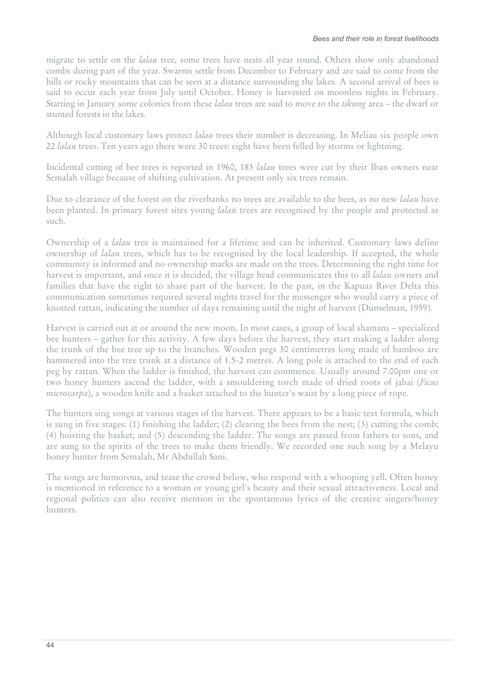migrate to settle on the *lalau* tree, some trees have nests all year round. Others show only abandoned combs during part of the year. Swarms settle from December to February and are said to come from the hills or rocky mountains that can be seen at a distance surrounding the lakes. A second arrival of bees is said to occur each year from July until October. Honey is harvested on moonless nights in February. Starting in January some colonies from these *lalau* trees are said to move to the *tikung* area – the dwarf or stunted forests in the lakes.

Although local customary laws protect *lalau* trees their number is decreasing. In Meliau six people own 22 *lalau* trees. Ten years ago there were 30 trees: eight have been felled by storms or lightning.

Incidental cutting of bee trees is reported in 1960, 183 *lalau* trees were cut by their Iban owners near Semalah village because of shifting cultivation. At present only six trees remain.

Due to clearance of the forest on the riverbanks no trees are available to the bees, as no new *lalau* have been planted. In primary forest sites young *lalau* trees are recognised by the people and protected as such.

Ownership of a *lalau* tree is maintained for a lifetime and can be inherited. Customary laws define ownership of *lalau* trees, which has to be recognised by the local leadership. If accepted, the whole community is informed and no ownership marks are made on the trees. Determining the right time for harvest is important, and once it is decided, the village head communicates this to all *lalau* owners and families that have the right to share part of the harvest. In the past, in the Kapuas River Delta this communication sometimes required several nights travel for the messenger who would carry a piece of knotted rattan, indicating the number of days remaining until the night of harvest (Dunselman, 1959).

Harvest is carried out at or around the new moon. In most cases, a group of local shamans – specialized bee hunters – gather for this activity. A few days before the harvest, they start making a ladder along the trunk of the bee tree up to the branches. Wooden pegs 30 centimetres long made of bamboo are hammered into the tree trunk at a distance of 1.5-2 metres. A long pole is attached to the end of each peg by rattan. When the ladder is finished, the harvest can commence. Usually around 7.00pm one or two honey hunters ascend the ladder, with a smouldering torch made of dried roots of jabai (*Ficus microcarpa*), a wooden knife and a basket attached to the hunter's waist by a long piece of rope.

The hunters sing songs at various stages of the harvest. There appears to be a basic text formula, which is sung in five stages: (1) finishing the ladder; (2) clearing the bees from the nest; (3) cutting the comb; (4) hoisting the basket; and (5) descending the ladder. The songs are passed from fathers to sons, and are sung to the spirits of the trees to make them friendly. We recorded one such song by a Melayu honey hunter from Semalah, Mr Abdullah Sani.

The songs are humorous, and tease the crowd below, who respond with a whooping yell. Often honey is mentioned in reference to a woman or young girl's beauty and their sexual attractiveness. Local and regional politics can also receive mention in the spontaneous lyrics of the creative singers/honey hunters.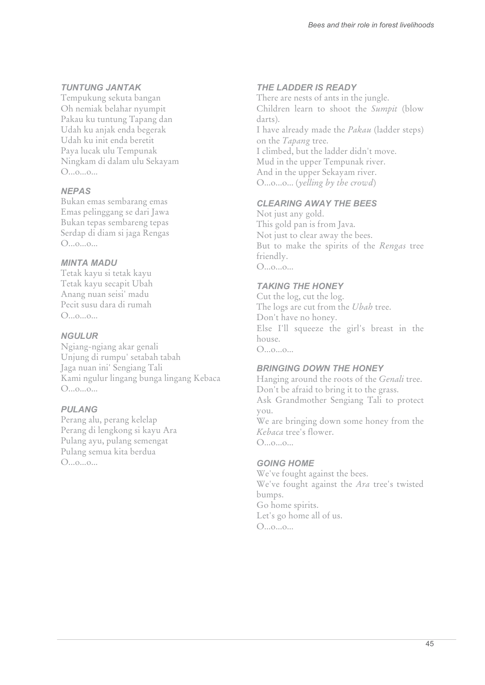#### *TUNTUNG JANTAK*

Tempukung sekuta bangan Oh nemiak belahar nyumpit Pakau ku tuntung Tapang dan Udah ku anjak enda begerak Udah ku init enda beretit Paya lucak ulu Tempunak Ningkam di dalam ulu Sekayam O...o...o...

#### *NEPAS*

Bukan emas sembarang emas Emas pelinggang se dari Jawa Bukan tepas sembareng tepas Serdap di diam si jaga Rengas O...o...o...

#### *MINTA MADU*

Tetak kayu si tetak kayu Tetak kayu secapit Ubah Anang nuan seisi' madu Pecit susu dara di rumah O...o...o...

#### *NGULUR*

Ngiang-ngiang akar genali Unjung di rumpu' setabah tabah Jaga nuan ini' Sengiang Tali Kami ngulur lingang bunga lingang Kebaca O...o...o...

#### *PULANG*

Perang alu, perang kelelap Perang di lengkong si kayu Ara Pulang ayu, pulang semengat Pulang semua kita berdua  $O_{\ldots 0 \ldots 0 \ldots}$ 

#### *THE LADDER IS READY*

There are nests of ants in the jungle. Children learn to shoot the *Sumpit* (blow darts). I have already made the *Pakau* (ladder steps) on the *Tapang* tree. I climbed, but the ladder didn't move. Mud in the upper Tempunak river. And in the upper Sekayam river. O...o...o... (*yelling by the crowd*)

#### *CLEARING AWAY THE BEES*

Not just any gold. This gold pan is from Java. Not just to clear away the bees. But to make the spirits of the *Rengas* tree friendly. O...o...o...

#### *TAKING THE HONEY*

Cut the log, cut the log. The logs are cut from the *Ubah* tree. Don't have no honey. Else I'll squeeze the girl's breast in the house. O...o...o...

#### *BRINGING DOWN THE HONEY*

Hanging around the roots of the *Genali* tree. Don't be afraid to bring it to the grass. Ask Grandmother Sengiang Tali to protect you. We are bringing down some honey from the *Kebaca* tree's flower.

O...o...o...

#### *GOING HOME*

We've fought against the bees. We've fought against the *Ara* tree's twisted bumps. Go home spirits. Let's go home all of us. O...o...o...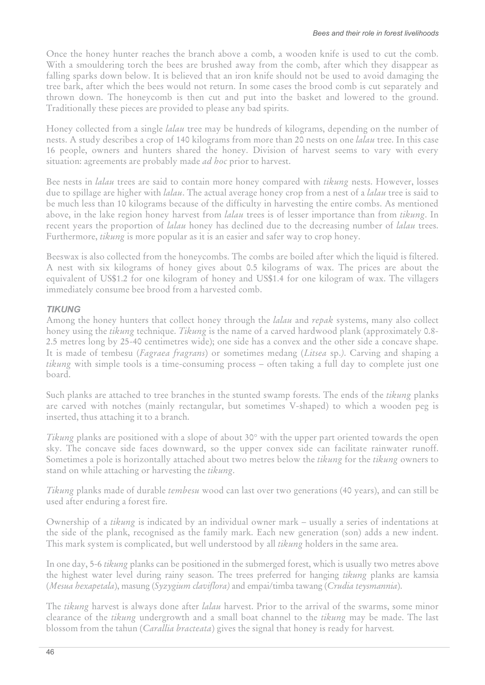Once the honey hunter reaches the branch above a comb, a wooden knife is used to cut the comb. With a smouldering torch the bees are brushed away from the comb, after which they disappear as falling sparks down below. It is believed that an iron knife should not be used to avoid damaging the tree bark, after which the bees would not return. In some cases the brood comb is cut separately and thrown down. The honeycomb is then cut and put into the basket and lowered to the ground. Traditionally these pieces are provided to please any bad spirits.

Honey collected from a single *lalau* tree may be hundreds of kilograms, depending on the number of nests. A study describes a crop of 140 kilograms from more than 20 nests on one *lalau* tree. In this case 16 people, owners and hunters shared the honey. Division of harvest seems to vary with every situation: agreements are probably made *ad hoc* prior to harvest.

Bee nests in *lalau* trees are said to contain more honey compared with *tikung* nests. However, losses due to spillage are higher with *lalau*. The actual average honey crop from a nest of a *lalau* tree is said to be much less than 10 kilograms because of the difficulty in harvesting the entire combs. As mentioned above, in the lake region honey harvest from *lalau* trees is of lesser importance than from *tikung*. In recent years the proportion of *lalau* honey has declined due to the decreasing number of *lalau* trees. Furthermore, *tikung* is more popular as it is an easier and safer way to crop honey.

Beeswax is also collected from the honeycombs. The combs are boiled after which the liquid is filtered. A nest with six kilograms of honey gives about 0.5 kilograms of wax. The prices are about the equivalent of US\$1.2 for one kilogram of honey and US\$1.4 for one kilogram of wax. The villagers immediately consume bee brood from a harvested comb.

# *TIKUNG*

Among the honey hunters that collect honey through the *lalau* and *repak* systems, many also collect honey using the *tikung* technique. *Tikung* is the name of a carved hardwood plank (approximately 0.8- 2.5 metres long by 25-40 centimetres wide); one side has a convex and the other side a concave shape. It is made of tembesu (*Fagraea fragrans*) or sometimes medang (*Litsea* sp.*)*. Carving and shaping a *tikung* with simple tools is a time-consuming process – often taking a full day to complete just one board.

Such planks are attached to tree branches in the stunted swamp forests. The ends of the *tikung* planks are carved with notches (mainly rectangular, but sometimes V-shaped) to which a wooden peg is inserted, thus attaching it to a branch.

*Tikung* planks are positioned with a slope of about 30° with the upper part oriented towards the open sky. The concave side faces downward, so the upper convex side can facilitate rainwater runoff. Sometimes a pole is horizontally attached about two metres below the *tikung* for the *tikung* owners to stand on while attaching or harvesting the *tikung*.

*Tikung* planks made of durable *tembesu* wood can last over two generations (40 years), and can still be used after enduring a forest fire.

Ownership of a *tikung* is indicated by an individual owner mark – usually a series of indentations at the side of the plank, recognised as the family mark. Each new generation (son) adds a new indent. This mark system is complicated, but well understood by all *tikung* holders in the same area.

In one day, 5-6 *tikung* planks can be positioned in the submerged forest, which is usually two metres above the highest water level during rainy season. The trees preferred for hanging *tikung* planks are kamsia (*Mesua hexapetala*), masung (*Syzygium claviflora)* and empai/timba tawang (*Crudia teysmannia*).

The *tikung* harvest is always done after *lalau* harvest. Prior to the arrival of the swarms, some minor clearance of the *tikung* undergrowth and a small boat channel to the *tikung* may be made. The last blossom from the tahun (*Carallia bracteata*) gives the signal that honey is ready for harvest*.*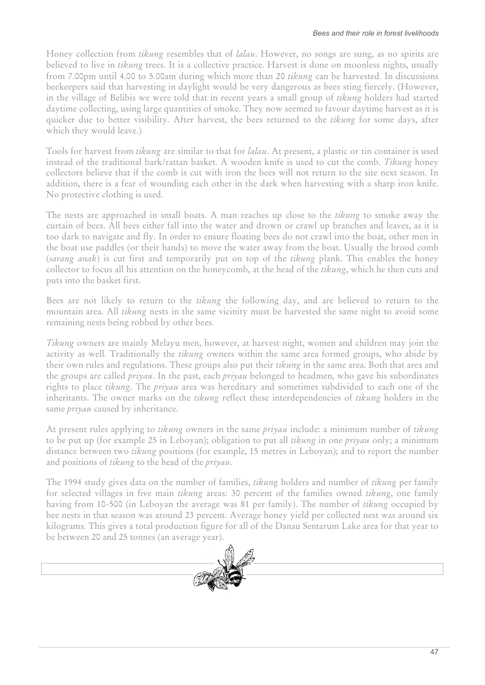Honey collection from *tikung* resembles that of *lalau*. However, no songs are sung, as no spirits are believed to live in *tikung* trees. It is a collective practice. Harvest is done on moonless nights, usually from 7.00pm until 4.00 to 5.00am during which more than 20 *tikung* can be harvested. In discussions beekeepers said that harvesting in daylight would be very dangerous as bees sting fiercely. (However, in the village of Belibis we were told that in recent years a small group of *tikung* holders had started daytime collecting, using large quantities of smoke. They now seemed to favour daytime harvest as it is quicker due to better visibility. After harvest, the bees returned to the *tikung* for some days, after which they would leave.)

Tools for harvest from *tikung* are similar to that for *lalau*. At present, a plastic or tin container is used instead of the traditional bark/rattan basket. A wooden knife is used to cut the comb. *Tikung* honey collectors believe that if the comb is cut with iron the bees will not return to the site next season. In addition, there is a fear of wounding each other in the dark when harvesting with a sharp iron knife. No protective clothing is used.

The nests are approached in small boats. A man reaches up close to the *tikung* to smoke away the curtain of bees. All bees either fall into the water and drown or crawl up branches and leaves, as it is too dark to navigate and fly. In order to ensure floating bees do not crawl into the boat, other men in the boat use paddles (or their hands) to move the water away from the boat. Usually the brood comb (*sarang anak*) is cut first and temporarily put on top of the *tikung* plank. This enables the honey collector to focus all his attention on the honeycomb, at the head of the *tikung*, which he then cuts and puts into the basket first.

Bees are not likely to return to the *tikung* the following day, and are believed to return to the mountain area. All *tikung* nests in the same vicinity must be harvested the same night to avoid some remaining nests being robbed by other bees.

*Tikung* owners are mainly Melayu men, however, at harvest night, women and children may join the activity as well. Traditionally the *tikung* owners within the same area formed groups, who abide by their own rules and regulations. These groups also put their *tikung* in the same area. Both that area and the groups are called *priyau*. In the past, each *priyau* belonged to headmen, who gave his subordinates rights to place *tikung*. The *priyau* area was hereditary and sometimes subdivided to each one of the inheritants. The owner marks on the *tikung* reflect these interdependencies of *tikung* holders in the same *priyau* caused by inheritance.

At present rules applying to *tikung* owners in the same *priyau* include: a minimum number of *tikung* to be put up (for example 25 in Leboyan); obligation to put all *tikung* in one *priyau* only; a minimum distance between two *tikung* positions (for example, 15 metres in Leboyan); and to report the number and positions of *tikung* to the head of the *priyau*.

The 1994 study gives data on the number of families, *tikung* holders and number of *tikung* per family for selected villages in five main *tikung* areas: 30 percent of the families owned *tikung*, one family having from 10-500 (in Leboyan the average was 81 per family). The number of *tikung* occupied by bee nests in that season was around 23 percent. Average honey yield per collected nest was around six kilograms. This gives a total production figure for all of the Danau Sentarum Lake area for that year to be between 20 and 25 tonnes (an average year).

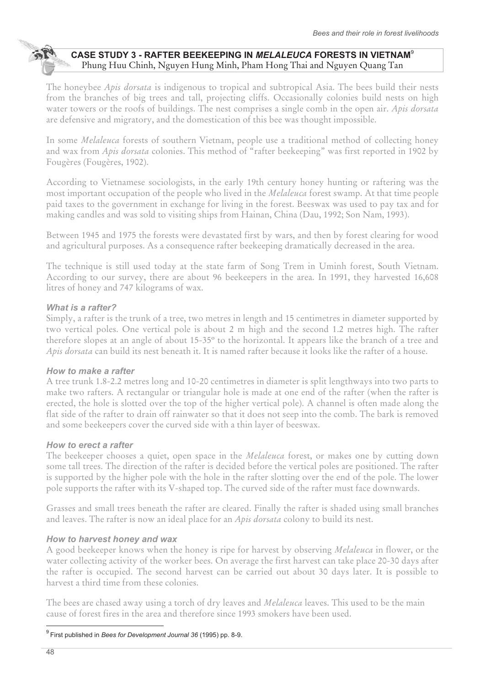# **CASE STUDY 3 - RAFTER BEEKEEPING IN** *MELALEUCA* **FORESTS IN VIETNAM**<sup>9</sup> Phung Huu Chinh, Nguyen Hung Minh, Pham Hong Thai and Nguyen Quang Tan

The honeybee *Apis dorsata* is indigenous to tropical and subtropical Asia. The bees build their nests from the branches of big trees and tall, projecting cliffs. Occasionally colonies build nests on high water towers or the roofs of buildings. The nest comprises a single comb in the open air. *Apis dorsata* are defensive and migratory, and the domestication of this bee was thought impossible.

In some *Melaleuca* forests of southern Vietnam, people use a traditional method of collecting honey and wax from *Apis dorsata* colonies. This method of "rafter beekeeping" was first reported in 1902 by Fougères (Fougères, 1902).

According to Vietnamese sociologists, in the early 19th century honey hunting or raftering was the most important occupation of the people who lived in the *Melaleuca* forest swamp. At that time people paid taxes to the government in exchange for living in the forest. Beeswax was used to pay tax and for making candles and was sold to visiting ships from Hainan, China (Dau, 1992; Son Nam, 1993).

Between 1945 and 1975 the forests were devastated first by wars, and then by forest clearing for wood and agricultural purposes. As a consequence rafter beekeeping dramatically decreased in the area.

The technique is still used today at the state farm of Song Trem in Uminh forest, South Vietnam. According to our survey, there are about 96 beekeepers in the area. In 1991, they harvested 16,608 litres of honey and 747 kilograms of wax.

## *What is a rafter?*

Simply, a rafter is the trunk of a tree, two metres in length and 15 centimetres in diameter supported by two vertical poles. One vertical pole is about 2 m high and the second 1.2 metres high. The rafter therefore slopes at an angle of about 15-35º to the horizontal. It appears like the branch of a tree and *Apis dorsata* can build its nest beneath it. It is named rafter because it looks like the rafter of a house.

#### *How to make a rafter*

A tree trunk 1.8-2.2 metres long and 10-20 centimetres in diameter is split lengthways into two parts to make two rafters. A rectangular or triangular hole is made at one end of the rafter (when the rafter is erected, the hole is slotted over the top of the higher vertical pole). A channel is often made along the flat side of the rafter to drain off rainwater so that it does not seep into the comb. The bark is removed and some beekeepers cover the curved side with a thin layer of beeswax.

## *How to erect a rafter*

The beekeeper chooses a quiet, open space in the *Melaleuca* forest, or makes one by cutting down some tall trees. The direction of the rafter is decided before the vertical poles are positioned. The rafter is supported by the higher pole with the hole in the rafter slotting over the end of the pole. The lower pole supports the rafter with its V-shaped top. The curved side of the rafter must face downwards.

Grasses and small trees beneath the rafter are cleared. Finally the rafter is shaded using small branches and leaves. The rafter is now an ideal place for an *Apis dorsata* colony to build its nest.

## *How to harvest honey and wax*

A good beekeeper knows when the honey is ripe for harvest by observing *Melaleuca* in flower, or the water collecting activity of the worker bees. On average the first harvest can take place 20-30 days after the rafter is occupied. The second harvest can be carried out about 30 days later. It is possible to harvest a third time from these colonies.

The bees are chased away using a torch of dry leaves and *Melaleuca* leaves. This used to be the main cause of forest fires in the area and therefore since 1993 smokers have been used.

 $\overline{\phantom{a}}$ 9 First published in *Bees for Development Journal 36* (1995) pp. 8-9.